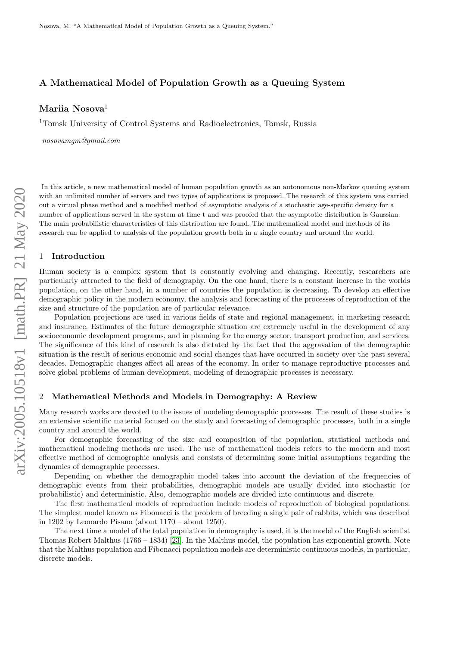# A Mathematical Model of Population Growth as a Queuing System

Mariia Nosova<sup>1</sup>

<sup>1</sup>Tomsk University of Control Systems and Radioelectronics, Tomsk, Russia

nosovamgm@gmail.com

In this article, a new mathematical model of human population growth as an autonomous non-Markov queuing system with an unlimited number of servers and two types of applications is proposed. The research of this system was carried out a virtual phase method and a modified method of asymptotic analysis of a stochastic age-specific density for a number of applications served in the system at time t and was proofed that the asymptotic distribution is Gaussian. The main probabilistic characteristics of this distribution are found. The mathematical model and methods of its research can be applied to analysis of the population growth both in a single country and around the world.

### 1 Introduction

Human society is a complex system that is constantly evolving and changing. Recently, researchers are particularly attracted to the field of demography. On the one hand, there is a constant increase in the worlds population, on the other hand, in a number of countries the population is decreasing. To develop an effective demographic policy in the modern economy, the analysis and forecasting of the processes of reproduction of the size and structure of the population are of particular relevance.

Population projections are used in various fields of state and regional management, in marketing research and insurance. Estimates of the future demographic situation are extremely useful in the development of any socioeconomic development programs, and in planning for the energy sector, transport production, and services. The significance of this kind of research is also dictated by the fact that the aggravation of the demographic situation is the result of serious economic and social changes that have occurred in society over the past several decades. Demographic changes affect all areas of the economy. In order to manage reproductive processes and solve global problems of human development, modeling of demographic processes is necessary.

## 2 Mathematical Methods and Models in Demography: A Review

Many research works are devoted to the issues of modeling demographic processes. The result of these studies is an extensive scientific material focused on the study and forecasting of demographic processes, both in a single country and around the world.

For demographic forecasting of the size and composition of the population, statistical methods and mathematical modeling methods are used. The use of mathematical models refers to the modern and most effective method of demographic analysis and consists of determining some initial assumptions regarding the dynamics of demographic processes.

Depending on whether the demographic model takes into account the deviation of the frequencies of demographic events from their probabilities, demographic models are usually divided into stochastic (or probabilistic) and deterministic. Also, demographic models are divided into continuous and discrete.

The first mathematical models of reproduction include models of reproduction of biological populations. The simplest model known as Fibonacci is the problem of breeding a single pair of rabbits, which was described in 1202 by Leonardo Pisano (about 1170 – about 1250).

The next time a model of the total population in demography is used, it is the model of the English scientist Thomas Robert Malthus (1766 – 1834) [\[23\]](#page-14-0). In the Malthus model, the population has exponential growth. Note that the Malthus population and Fibonacci population models are deterministic continuous models, in particular, discrete models.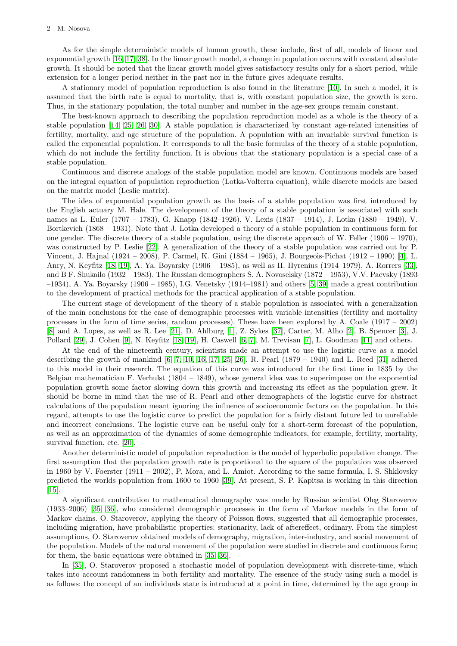As for the simple deterministic models of human growth, these include, first of all, models of linear and exponential growth [\[16,](#page-14-1) [17,](#page-14-2) [38\]](#page-14-3). In the linear growth model, a change in population occurs with constant absolute growth. It should be noted that the linear growth model gives satisfactory results only for a short period, while extension for a longer period neither in the past nor in the future gives adequate results.

A stationary model of population reproduction is also found in the literature [\[10\]](#page-13-0). In such a model, it is assumed that the birth rate is equal to mortality, that is, with constant population size, the growth is zero. Thus, in the stationary population, the total number and number in the age-sex groups remain constant.

The best-known approach to describing the population reproduction model as a whole is the theory of a stable population [\[14,](#page-13-1) [25,](#page-14-4) [26,](#page-14-5) [30\]](#page-14-6). A stable population is characterized by constant age-related intensities of fertility, mortality, and age structure of the population. A population with an invariable survival function is called the exponential population. It corresponds to all the basic formulas of the theory of a stable population, which do not include the fertility function. It is obvious that the stationary population is a special case of a stable population.

Continuous and discrete analogs of the stable population model are known. Continuous models are based on the integral equation of population reproduction (Lotka-Volterra equation), while discrete models are based on the matrix model (Leslie matrix).

The idea of exponential population growth as the basis of a stable population was first introduced by the English actuary M. Hale. The development of the theory of a stable population is associated with such names as L. Euler (1707 – 1783), G. Knapp (1842–1926), V. Lexis (1837 – 1914), J. Lotka (1880 – 1949), V. Bortkevich (1868 – 1931). Note that J. Lotka developed a theory of a stable population in continuous form for one gender. The discrete theory of a stable population, using the discrete approach of W. Feller (1906 – 1970), was constructed by P. Leslie [\[22\]](#page-14-7). A generalization of the theory of a stable population was carried out by P. Vincent, J. Hajnal (1924 – 2008), P. Carmel, K. Gini (1884 – 1965), J. Bourgeois-Pichat (1912 – 1990) [\[4\]](#page-13-2), L. Anry, N. Keyfitz [\[18,](#page-14-8) [19\]](#page-14-9), A. Ya. Boyarsky (1906 – 1985), as well as H. Hyrenius (1914–1979), A. Rorrers [\[33\]](#page-14-10), and B F. Shukailo (1932 – 1983). The Russian demographers S. A. Novoselsky (1872 – 1953), V.V. Paevsky (1893 –1934), A. Ya. Boyarsky (1906 – 1985), I.G. Venetsky (1914–1981) and others [\[5,](#page-13-3) [39\]](#page-14-11) made a great contribution to the development of practical methods for the practical application of a stable population.

The current stage of development of the theory of a stable population is associated with a generalization of the main conclusions for the case of demographic processes with variable intensities (fertility and mortality processes in the form of time series, random processes). These have been explored by A. Coale (1917 – 2002) [\[8\]](#page-13-4) and A. Lopes, as well as R. Lee [\[21\]](#page-14-12), D. Ahlburg [\[1\]](#page-13-5), Z. Sykes [\[37\]](#page-14-13), Carter, M. Alho [\[2\]](#page-13-6), B. Spencer [\[3\]](#page-13-7), J. Pollard [\[29\]](#page-14-14), J. Cohen [\[9\]](#page-13-8), N. Keyfitz [\[18,](#page-14-8) [19\]](#page-14-9), H. Caswell [\[6,](#page-13-9) [7\]](#page-13-10), M. Trevisan [\[7\]](#page-13-10), L. Goodman [\[11\]](#page-13-11) and others.

At the end of the nineteenth century, scientists made an attempt to use the logistic curve as a model describing the growth of mankind [\[6,](#page-13-9) [7,](#page-13-10) [10,](#page-13-0) [16,](#page-14-1) [17,](#page-14-2) [25,](#page-14-4) [26\]](#page-14-5). R. Pearl (1879 – 1940) and L. Reed [\[31\]](#page-14-15) adhered to this model in their research. The equation of this curve was introduced for the first time in 1835 by the Belgian mathematician F. Verhulst  $(1804 - 1849)$ , whose general idea was to superimpose on the exponential population growth some factor slowing down this growth and increasing its effect as the population grew. It should be borne in mind that the use of R. Pearl and other demographers of the logistic curve for abstract calculations of the population meant ignoring the influence of socioeconomic factors on the population. In this regard, attempts to use the logistic curve to predict the population for a fairly distant future led to unreliable and incorrect conclusions. The logistic curve can be useful only for a short-term forecast of the population, as well as an approximation of the dynamics of some demographic indicators, for example, fertility, mortality, survival function, etc. [\[20\]](#page-14-16).

Another deterministic model of population reproduction is the model of hyperbolic population change. The first assumption that the population growth rate is proportional to the square of the population was observed in 1960 by V. Foerster (1911 – 2002), P. Mora, and L. Amiot. According to the same formula, I. S. Shklovsky predicted the worlds population from 1600 to 1960 [\[39\]](#page-14-11). At present, S. P. Kapitsa is working in this direction [\[15\]](#page-13-12).

A significant contribution to mathematical demography was made by Russian scientist Oleg Staroverov (1933–2006) [\[35,](#page-14-17) [36\]](#page-14-18), who considered demographic processes in the form of Markov models in the form of Markov chains. O. Staroverov, applying the theory of Poisson flows, suggested that all demographic processes, including migration, have probabilistic properties: stationarity, lack of aftereffect, ordinary. From the simplest assumptions, O. Staroverov obtained models of demography, migration, inter-industry, and social movement of the population. Models of the natural movement of the population were studied in discrete and continuous form; for them, the basic equations were obtained in [\[35,](#page-14-17) [36\]](#page-14-18).

In [\[35\]](#page-14-17), O. Staroverov proposed a stochastic model of population development with discrete-time, which takes into account randomness in both fertility and mortality. The essence of the study using such a model is as follows: the concept of an individuals state is introduced at a point in time, determined by the age group in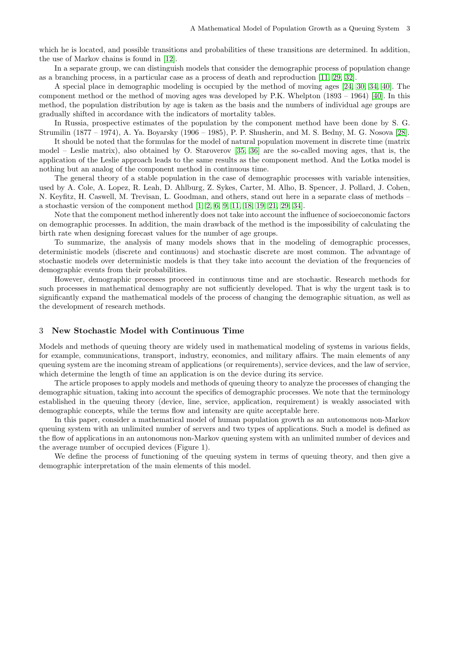which he is located, and possible transitions and probabilities of these transitions are determined. In addition, the use of Markov chains is found in [\[12\]](#page-13-13).

In a separate group, we can distinguish models that consider the demographic process of population change as a branching process, in a particular case as a process of death and reproduction [\[11,](#page-13-11) [29,](#page-14-14) [32\]](#page-14-19).

A special place in demographic modeling is occupied by the method of moving ages [\[24,](#page-14-20) [30,](#page-14-6) [34,](#page-14-21) [40\]](#page-14-22). The component method or the method of moving ages was developed by P.K. Whelpton (1893 – 1964) [\[40\]](#page-14-22). In this method, the population distribution by age is taken as the basis and the numbers of individual age groups are gradually shifted in accordance with the indicators of mortality tables.

In Russia, prospective estimates of the population by the component method have been done by S. G. Strumilin (1877 – 1974), A. Ya. Boyarsky (1906 – 1985), P. P. Shusherin, and M. S. Bedny, M. G. Nosova [\[28\]](#page-14-23).

It should be noted that the formulas for the model of natural population movement in discrete time (matrix model – Leslie matrix), also obtained by O. Staroverov [\[35,](#page-14-17) [36\]](#page-14-18) are the so-called moving ages, that is, the application of the Leslie approach leads to the same results as the component method. And the Lotka model is nothing but an analog of the component method in continuous time.

The general theory of a stable population in the case of demographic processes with variable intensities, used by A. Cole, A. Lopez, R. Leah, D. Ahlburg, Z. Sykes, Carter, M. Alho, B. Spencer, J. Pollard, J. Cohen, N. Keyfitz, H. Caswell, M. Trevisan, L. Goodman, and others, stand out here in a separate class of methods – a stochastic version of the component method [\[1,](#page-13-5) [2,](#page-13-6) [6,](#page-13-9) [9,](#page-13-8) [11,](#page-13-11) [18,](#page-14-8) [19,](#page-14-9) [21,](#page-14-12) [29,](#page-14-14) [34\]](#page-14-21).

Note that the component method inherently does not take into account the influence of socioeconomic factors on demographic processes. In addition, the main drawback of the method is the impossibility of calculating the birth rate when designing forecast values for the number of age groups.

To summarize, the analysis of many models shows that in the modeling of demographic processes, deterministic models (discrete and continuous) and stochastic discrete are most common. The advantage of stochastic models over deterministic models is that they take into account the deviation of the frequencies of demographic events from their probabilities.

However, demographic processes proceed in continuous time and are stochastic. Research methods for such processes in mathematical demography are not sufficiently developed. That is why the urgent task is to significantly expand the mathematical models of the process of changing the demographic situation, as well as the development of research methods.

## 3 New Stochastic Model with Continuous Time

Models and methods of queuing theory are widely used in mathematical modeling of systems in various fields, for example, communications, transport, industry, economics, and military affairs. The main elements of any queuing system are the incoming stream of applications (or requirements), service devices, and the law of service, which determine the length of time an application is on the device during its service.

The article proposes to apply models and methods of queuing theory to analyze the processes of changing the demographic situation, taking into account the specifics of demographic processes. We note that the terminology established in the queuing theory (device, line, service, application, requirement) is weakly associated with demographic concepts, while the terms flow and intensity are quite acceptable here.

In this paper, consider a mathematical model of human population growth as an autonomous non-Markov queuing system with an unlimited number of servers and two types of applications. Such a model is defined as the flow of applications in an autonomous non-Markov queuing system with an unlimited number of devices and the average number of occupied devices (Figure 1).

We define the process of functioning of the queuing system in terms of queuing theory, and then give a demographic interpretation of the main elements of this model.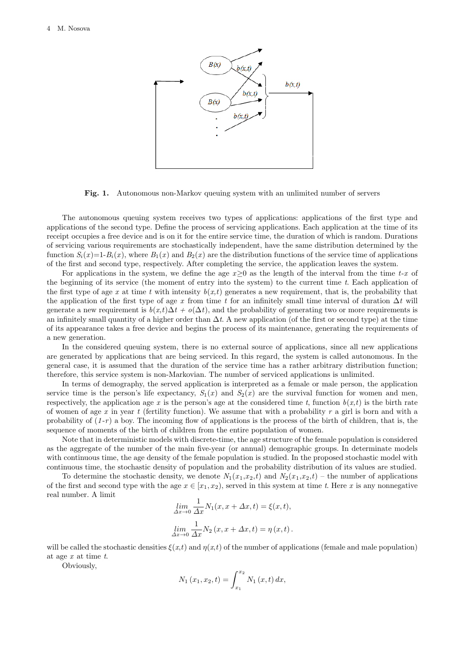

Fig. 1. Autonomous non-Markov queuing system with an unlimited number of servers

The autonomous queuing system receives two types of applications: applications of the first type and applications of the second type. Define the process of servicing applications. Each application at the time of its receipt occupies a free device and is on it for the entire service time, the duration of which is random. Durations of servicing various requirements are stochastically independent, have the same distribution determined by the function  $S_i(x)=1-B_i(x)$ , where  $B_1(x)$  and  $B_2(x)$  are the distribution functions of the service time of applications of the first and second type, respectively. After completing the service, the application leaves the system.

For applications in the system, we define the age  $x>0$  as the length of the interval from the time  $t-x$  of the beginning of its service (the moment of entry into the system) to the current time  $t$ . Each application of the first type of age x at time t with intensity  $b(x,t)$  generates a new requirement, that is, the probability that the application of the first type of age x from time t for an infinitely small time interval of duration  $\Delta t$  will generate a new requirement is  $b(x,t)\Delta t + o(\Delta t)$ , and the probability of generating two or more requirements is an infinitely small quantity of a higher order than  $\Delta t$ . A new application (of the first or second type) at the time of its appearance takes a free device and begins the process of its maintenance, generating the requirements of a new generation.

In the considered queuing system, there is no external source of applications, since all new applications are generated by applications that are being serviced. In this regard, the system is called autonomous. In the general case, it is assumed that the duration of the service time has a rather arbitrary distribution function; therefore, this service system is non-Markovian. The number of serviced applications is unlimited.

In terms of demography, the served application is interpreted as a female or male person, the application service time is the person's life expectancy,  $S_1(x)$  and  $S_2(x)$  are the survival function for women and men, respectively, the application age x is the person's age at the considered time t, function  $b(x,t)$  is the birth rate of women of age x in year t (fertility function). We assume that with a probability  $r$  a girl is born and with a probability of  $(1-r)$  a boy. The incoming flow of applications is the process of the birth of children, that is, the sequence of moments of the birth of children from the entire population of women.

Note that in deterministic models with discrete-time, the age structure of the female population is considered as the aggregate of the number of the main five-year (or annual) demographic groups. In determinate models with continuous time, the age density of the female population is studied. In the proposed stochastic model with continuous time, the stochastic density of population and the probability distribution of its values are studied.

To determine the stochastic density, we denote  $N_1(x_1,x_2,t)$  and  $N_2(x_1,x_2,t)$  – the number of applications of the first and second type with the age  $x \in [x_1, x_2)$ , served in this system at time t. Here x is any nonnegative real number. A limit

$$
\lim_{\Delta x \to 0} \frac{1}{\Delta x} N_1(x, x + \Delta x, t) = \xi(x, t),
$$
  

$$
\lim_{\Delta x \to 0} \frac{1}{\Delta x} N_2(x, x + \Delta x, t) = \eta(x, t).
$$

will be called the stochastic densities  $\xi(x,t)$  and  $\eta(x,t)$  of the number of applications (female and male population) at age  $x$  at time  $t$ .

Obviously,

$$
N_1(x_1, x_2, t) = \int_{x_1}^{x_2} N_1(x, t) dx,
$$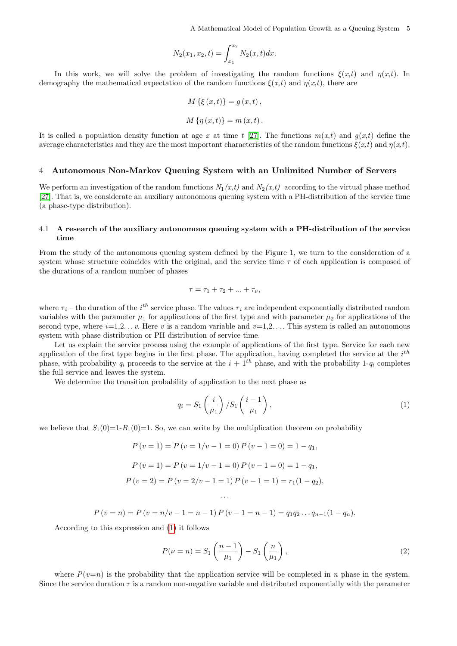$$
N_2(x_1, x_2, t) = \int_{x_1}^{x_2} N_2(x, t) dx.
$$

In this work, we will solve the problem of investigating the random functions  $\xi(x,t)$  and  $\eta(x,t)$ . In demography the mathematical expectation of the random functions  $\xi(x,t)$  and  $\eta(x,t)$ , there are

$$
M\{\xi(x,t)\} = g(x,t),
$$
  

$$
M\{\eta(x,t)\} = m(x,t).
$$

It is called a population density function at age x at time t [\[27\]](#page-14-24). The functions  $m(x,t)$  and  $q(x,t)$  define the average characteristics and they are the most important characteristics of the random functions  $\xi(x,t)$  and  $\eta(x,t)$ .

## 4 Autonomous Non-Markov Queuing System with an Unlimited Number of Servers

We perform an investigation of the random functions  $N_1(x,t)$  and  $N_2(x,t)$  according to the virtual phase method [\[27\]](#page-14-24). That is, we considerate an auxiliary autonomous queuing system with a PH-distribution of the service time (a phase-type distribution).

## 4.1 A research of the auxiliary autonomous queuing system with a PH-distribution of the service time

From the study of the autonomous queuing system defined by the Figure 1, we turn to the consideration of a system whose structure coincides with the original, and the service time  $\tau$  of each application is composed of the durations of a random number of phases

$$
\tau = \tau_1 + \tau_2 + \ldots + \tau_{\nu},
$$

where  $\tau_i$  – the duration of the  $i^{th}$  service phase. The values  $\tau_i$  are independent exponentially distributed random variables with the parameter  $\mu_1$  for applications of the first type and with parameter  $\mu_2$  for applications of the second type, where  $i=1,2...$  v. Here v is a random variable and  $v=1,2...$  This system is called an autonomous system with phase distribution or PH distribution of service time.

Let us explain the service process using the example of applications of the first type. Service for each new application of the first type begins in the first phase. The application, having completed the service at the  $i^{th}$ phase, with probability  $q_i$  proceeds to the service at the  $i + 1<sup>th</sup>$  phase, and with the probability 1- $q_i$  completes the full service and leaves the system.

We determine the transition probability of application to the next phase as

<span id="page-4-0"></span>
$$
q_i = S_1\left(\frac{i}{\mu_1}\right)/S_1\left(\frac{i-1}{\mu_1}\right),\tag{1}
$$

we believe that  $S_1(0)=1-B_1(0)=1$ . So, we can write by the multiplication theorem on probability

$$
P(v = 1) = P(v = 1/v - 1 = 0) P(v - 1 = 0) = 1 - q1,
$$
  
\n
$$
P(v = 1) = P(v = 1/v - 1 = 0) P(v - 1 = 0) = 1 - q1,
$$
  
\n
$$
P(v = 2) = P(v = 2/v - 1 = 1) P(v - 1 = 1) = r1(1 - q2),
$$

$$
P(v = n) = P(v = n/v - 1 = n - 1) P(v - 1 = n - 1) = q_1 q_2 \dots q_{n-1} (1 - q_n).
$$

· · ·

According to this expression and [\(1\)](#page-4-0) it follows

<span id="page-4-1"></span>
$$
P(\nu = n) = S_1 \left(\frac{n-1}{\mu_1}\right) - S_1 \left(\frac{n}{\mu_1}\right),\tag{2}
$$

where  $P(v=n)$  is the probability that the application service will be completed in n phase in the system. Since the service duration  $\tau$  is a random non-negative variable and distributed exponentially with the parameter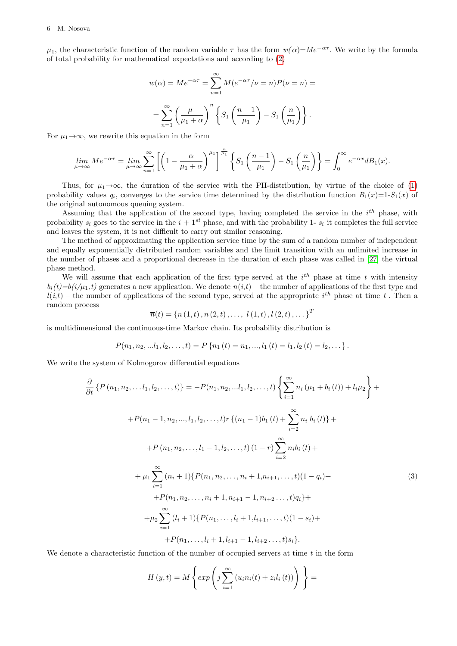$\mu_1$ , the characteristic function of the random variable  $\tau$  has the form  $w(\alpha)=Me^{-\alpha\tau}$ . We write by the formula of total probability for mathematical expectations and according to [\(2\)](#page-4-1)

$$
w(\alpha) = Me^{-\alpha \tau} = \sum_{n=1}^{\infty} M(e^{-\alpha \tau}/\nu = n)P(\nu = n) =
$$

$$
= \sum_{n=1}^{\infty} \left(\frac{\mu_1}{\mu_1 + \alpha}\right)^n \left\{ S_1\left(\frac{n-1}{\mu_1}\right) - S_1\left(\frac{n}{\mu_1}\right) \right\}.
$$

For  $\mu_1 \rightarrow \infty$ , we rewrite this equation in the form

$$
\lim_{\mu \to \infty} Me^{-\alpha \tau} = \lim_{\mu \to \infty} \sum_{n=1}^{\infty} \left[ \left( 1 - \frac{\alpha}{\mu_1 + \alpha} \right)^{\mu_1} \right]^{\frac{n}{\mu_1}} \left\{ S_1 \left( \frac{n-1}{\mu_1} \right) - S_1 \left( \frac{n}{\mu_1} \right) \right\} = \int_0^{\infty} e^{-\alpha x} d B_1(x).
$$

Thus, for  $\mu_1 \rightarrow \infty$ , the duration of the service with the PH-distribution, by virtue of the choice of [\(1\)](#page-4-0) probability values  $q_i$ , converges to the service time determined by the distribution function  $B_1(x)=1-S_1(x)$  of the original autonomous queuing system.

Assuming that the application of the second type, having completed the service in the  $i^{th}$  phase, with probability  $s_i$  goes to the service in the  $i + 1^{st}$  phase, and with the probability 1-  $s_i$  it completes the full service and leaves the system, it is not difficult to carry out similar reasoning.

The method of approximating the application service time by the sum of a random number of independent and equally exponentially distributed random variables and the limit transition with an unlimited increase in the number of phases and a proportional decrease in the duration of each phase was called in [\[27\]](#page-14-24) the virtual phase method.

We will assume that each application of the first type served at the  $i<sup>th</sup>$  phase at time t with intensity  $b_i(t)=b(i/\mu_1,t)$  generates a new application. We denote  $n(i,t)$  – the number of applications of the first type and  $l(i,t)$  – the number of applications of the second type, served at the appropriate  $i^{th}$  phase at time t. Then a random process

$$
\overline{n}(t) = \{n(1,t), n(2,t), \ldots, l(1,t), l(2,t), \ldots\}^T
$$

is multidimensional the continuous-time Markov chain. Its probability distribution is

$$
P(n_1, n_2, \ldots, l_1, l_2, \ldots, t) = P\left\{n_1(t) = n_1, \ldots, l_1(t) = l_1, l_2(t) = l_2, \ldots\right\}.
$$

We write the system of Kolmogorov differential equations

$$
\frac{\partial}{\partial t} \left\{ P(n_1, n_2, \dots, l_1, l_2, \dots, t) \right\} = -P(n_1, n_2, \dots, l_1, l_2, \dots, t) \left\{ \sum_{i=1}^{\infty} n_i (\mu_1 + b_i(t)) + l_i \mu_2 \right\} +
$$
  
+ 
$$
+P(n_1 - 1, n_2, \dots, l_1, l_2, \dots, t) r \left\{ (n_1 - 1)b_1(t) + \sum_{i=2}^{\infty} n_i b_i(t) \right\} +
$$
  
+ 
$$
+P(n_1, n_2, \dots, l_1 - 1, l_2, \dots, t) (1 - r) \sum_{i=2}^{\infty} n_i b_i(t) +
$$
  
+ 
$$
\mu_1 \sum_{i=1}^{\infty} (n_i + 1) \left\{ P(n_1, n_2, \dots, n_i + 1, n_{i+1}, \dots, t) (1 - q_i) +
$$
  
+ 
$$
+P(n_1, n_2, \dots, n_i + 1, n_{i+1} - 1, n_{i+2} \dots, t) q_i \right\} +
$$
  
+ 
$$
\mu_2 \sum_{i=1}^{\infty} (l_i + 1) \left\{ P(n_1, \dots, l_i + 1, l_{i+1}, \dots, t) (1 - s_i) +
$$
  
+ 
$$
+P(n_1, \dots, l_i + 1, l_{i+1} - 1, l_{i+2} \dots, t) s_i \right\}.
$$
 (3)

We denote a characteristic function of the number of occupied servers at time  $t$  in the form

<span id="page-5-0"></span>
$$
H(y,t) = M\left\{ exp\left(j\sum_{i=1}^{\infty} (u_i n_i(t) + z_i l_i(t))\right)\right\} =
$$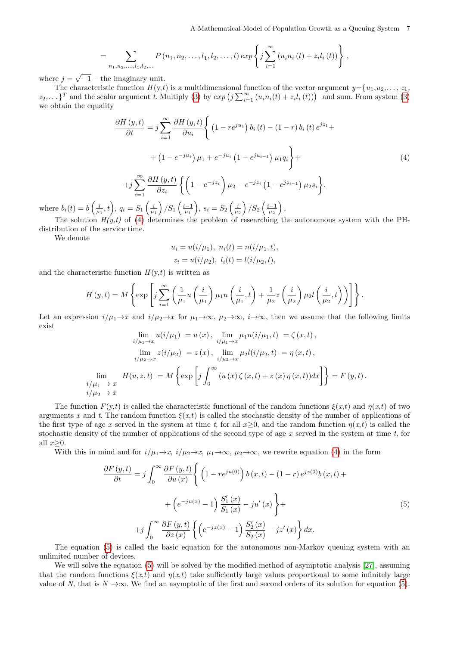$$
= \sum_{n_1,n_2,...,l_1,l_2,...} P(n_1,n_2,...,l_1,l_2,...,t) exp \left\{ j \sum_{i=1}^{\infty} (u_i n_i(t) + z_i l_i(t)) \right\},
$$

where  $j = \sqrt{-1}$  – the imaginary unit.

The characteristic function  $H(y,t)$  is a multidimensional function of the vector argument  $y = \{u_1, u_2, \ldots, z_1,$  $z_2, \ldots$  <sup>T</sup> and the scalar argument t. Multiply [\(3\)](#page-5-0) by  $exp(j\sum_{i=1}^{\infty}(u_i n_i(t) + z_i l_i(t)))$  and sum. From system (3) we obtain the equality

<span id="page-6-0"></span>
$$
\frac{\partial H(y,t)}{\partial t} = j \sum_{i=1}^{\infty} \frac{\partial H(y,t)}{\partial u_i} \left\{ \left( 1 - re^{ju_1} \right) b_i(t) - (1 - r) b_i(t) e^{jz_1} + \right.\n+ (1 - e^{-ju_i}) \mu_1 + e^{-ju_i} \left( 1 - e^{ju_{i-1}} \right) \mu_1 q_i \right\} +
$$
\n
$$
+ j \sum_{i=1}^{\infty} \frac{\partial H(y,t)}{\partial z_i} \left\{ \left( 1 - e^{-jz_i} \right) \mu_2 - e^{-jz_i} \left( 1 - e^{jz_{i-1}} \right) \mu_2 s_i \right\},
$$
\n(4)

where  $b_i(t) = b\left(\frac{i}{\mu_1}, t\right)$ ,  $q_i = S_1\left(\frac{i}{\mu_1}\right)/S_1\left(\frac{i-1}{\mu_1}\right)$ ,  $s_i = S_2\left(\frac{i}{\mu_2}\right)/S_2\left(\frac{i-1}{\mu_2}\right)$ .

The solution  $H(y,t)$  of [\(4\)](#page-6-0) determines the problem of researching the autonomous system with the PHdistribution of the service time.

We denote

$$
u_i = u(i/\mu_1), \ n_i(t) = n(i/\mu_1, t),
$$
  
\n
$$
z_i = u(i/\mu_2), \ l_i(t) = l(i/\mu_2, t),
$$

and the characteristic function  $H(y,t)$  is written as

$$
H(y,t) = M\left\{\exp\left[j\sum_{i=1}^{\infty}\left(\frac{1}{\mu_1}u\left(\frac{i}{\mu_1}\right)\mu_1n\left(\frac{i}{\mu_1},t\right) + \frac{1}{\mu_2}z\left(\frac{i}{\mu_2}\right)\mu_2l\left(\frac{i}{\mu_2},t\right)\right)\right]\right\}.
$$

Let an expression  $i/\mu_1 \rightarrow x$  and  $i/\mu_2 \rightarrow x$  for  $\mu_1 \rightarrow \infty$ ,  $\mu_2 \rightarrow \infty$ ,  $i \rightarrow \infty$ , then we assume that the following limits exist

$$
\lim_{i/\mu_1 \to x} u(i/\mu_1) = u(x), \quad \lim_{i/\mu_1 \to x} \mu_1 n(i/\mu_1, t) = \zeta(x, t),
$$
\n
$$
\lim_{i/\mu_2 \to x} z(i/\mu_2) = z(x), \quad \lim_{i/\mu_2 \to x} \mu_2 l(i/\mu_2, t) = \eta(x, t),
$$
\n
$$
\lim_{i/\mu_1 \to x} H(u, z, t) = M \left\{ \exp \left[ j \int_0^\infty (u(x) \zeta(x, t) + z(x) \eta(x, t)) dx \right] \right\} = F(y, t).
$$
\n
$$
i/\mu_2 \to x
$$

The function  $F(y,t)$  is called the characteristic functional of the random functions  $\xi(x,t)$  and  $\eta(x,t)$  of two arguments x and t. The random function  $\xi(x,t)$  is called the stochastic density of the number of applications of the first type of age x served in the system at time t, for all  $x>0$ , and the random function  $\eta(x,t)$  is called the stochastic density of the number of applications of the second type of age  $x$  served in the system at time  $t$ , for all  $x>0$ .

With this in mind and for  $i/\mu_1 \rightarrow x$ ,  $i/\mu_2 \rightarrow x$ ,  $\mu_1 \rightarrow \infty$ ,  $\mu_2 \rightarrow \infty$ , we rewrite equation [\(4\)](#page-6-0) in the form

<span id="page-6-1"></span>
$$
\frac{\partial F(y,t)}{\partial t} = j \int_0^\infty \frac{\partial F(y,t)}{\partial u(x)} \left\{ \left( 1 - re^{ju(0)} \right) b(x,t) - (1-r) e^{jz(0)} b(x,t) + \right.\left. + \left( e^{-ju(x)} - 1 \right) \frac{S_1'(x)}{S_1(x)} - ju'(x) \right\} + \left. + j \int_0^\infty \frac{\partial F(y,t)}{\partial z(x)} \left\{ \left( e^{-jz(x)} - 1 \right) \frac{S_2'(x)}{S_2(x)} - jz'(x) \right\} dx.
$$
\n(5)

The equation [\(5\)](#page-6-1) is called the basic equation for the autonomous non-Markov queuing system with an unlimited number of devices.

We will solve the equation [\(5\)](#page-6-1) will be solved by the modified method of asymptotic analysis [\[27\]](#page-14-24), assuming that the random functions  $\xi(x,t)$  and  $\eta(x,t)$  take sufficiently large values proportional to some infinitely large value of N, that is  $N \to \infty$ . We find an asymptotic of the first and second orders of its solution for equation [\(5\)](#page-6-1).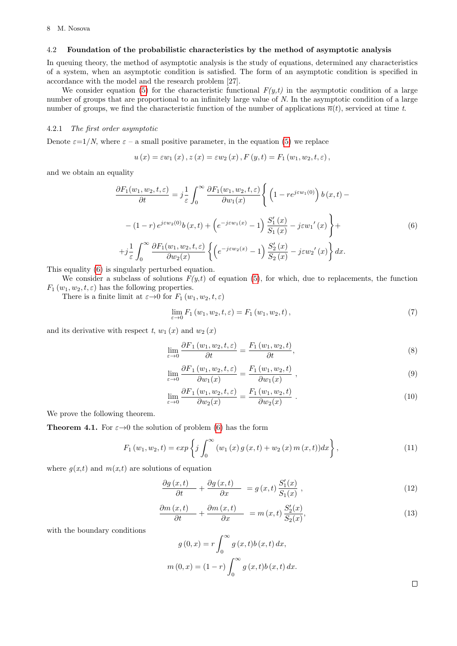#### 4.2 Foundation of the probabilistic characteristics by the method of asymptotic analysis

In queuing theory, the method of asymptotic analysis is the study of equations, determined any characteristics of a system, when an asymptotic condition is satisfied. The form of an asymptotic condition is specified in accordance with the model and the research problem [27].

We consider equation [\(5\)](#page-6-1) for the characteristic functional  $F(y,t)$  in the asymptotic condition of a large number of groups that are proportional to an infinitely large value of N. In the asymptotic condition of a large number of groups, we find the characteristic function of the number of applications  $\bar{n}(t)$ , serviced at time t.

## 4.2.1 The first order asymptotic

Denote  $\varepsilon=1/N$ , where  $\varepsilon$  – a small positive parameter, in the equation [\(5\)](#page-6-1) we replace

$$
u(x) = \varepsilon w_1(x), z(x) = \varepsilon w_2(x), F(y,t) = F_1(w_1, w_2, t, \varepsilon),
$$

and we obtain an equality

<span id="page-7-0"></span>
$$
\frac{\partial F_1(w_1, w_2, t, \varepsilon)}{\partial t} = j \frac{1}{\varepsilon} \int_0^\infty \frac{\partial F_1(w_1, w_2, t, \varepsilon)}{\partial w_1(x)} \left\{ \left( 1 - re^{j\varepsilon w_1(0)} \right) b(x, t) - (1 - r) e^{j\varepsilon w_2(0)} b(x, t) + \left( e^{-j\varepsilon w_1(x)} - 1 \right) \frac{S'_1(x)}{S_1(x)} - j\varepsilon w'_1(x) \right\} +
$$
\n
$$
+ j \frac{1}{\varepsilon} \int_0^\infty \frac{\partial F_1(w_1, w_2, t, \varepsilon)}{\partial w_2(x)} \left\{ \left( e^{-j\varepsilon w_2(x)} - 1 \right) \frac{S'_2(x)}{S_2(x)} - j\varepsilon w'_2(x) \right\} dx.
$$
\n(6)

This equality [\(6\)](#page-7-0) is singularly perturbed equation.

We consider a subclass of solutions  $F(y,t)$  of equation [\(5\)](#page-6-1), for which, due to replacements, the function  $F_1(w_1, w_2, t, \varepsilon)$  has the following properties.

There is a finite limit at  $\varepsilon \to 0$  for  $F_1(w_1, w_2, t, \varepsilon)$ 

$$
\lim_{\varepsilon \to 0} F_1(w_1, w_2, t, \varepsilon) = F_1(w_1, w_2, t), \tag{7}
$$

and its derivative with respect  $t, w_1(x)$  and  $w_2(x)$ 

$$
\lim_{\varepsilon \to 0} \frac{\partial F_1(w_1, w_2, t, \varepsilon)}{\partial t} = \frac{F_1(w_1, w_2, t)}{\partial t},\tag{8}
$$

$$
\lim_{\varepsilon \to 0} \frac{\partial F_1(w_1, w_2, t, \varepsilon)}{\partial w_1(x)} = \frac{F_1(w_1, w_2, t)}{\partial w_1(x)} , \qquad (9)
$$

$$
\lim_{\varepsilon \to 0} \frac{\partial F_1(w_1, w_2, t, \varepsilon)}{\partial w_2(x)} = \frac{F_1(w_1, w_2, t)}{\partial w_2(x)}.
$$
\n(10)

We prove the following theorem.

<span id="page-7-4"></span>**Theorem 4.1.** For  $\varepsilon \rightarrow 0$  the solution of problem [\(6\)](#page-7-0) has the form

<span id="page-7-3"></span>
$$
F_1(w_1, w_2, t) = exp\left\{j \int_0^\infty (w_1(x) g(x, t) + w_2(x) m(x, t)) dx\right\},
$$
\n(11)

where  $q(x,t)$  and  $m(x,t)$  are solutions of equation

<span id="page-7-1"></span>
$$
\frac{\partial g(x,t)}{\partial t} + \frac{\partial g(x,t)}{\partial x} = g(x,t) \frac{S_1'(x)}{S_1(x)},
$$
\n(12)

<span id="page-7-2"></span>
$$
\frac{\partial m(x,t)}{\partial t} + \frac{\partial m(x,t)}{\partial x} = m(x,t) \frac{S_2'(x)}{S_2(x)},
$$
\n(13)

with the boundary conditions

$$
g(0, x) = r \int_0^{\infty} g(x, t) b(x, t) dx,
$$
  

$$
m(0, x) = (1 - r) \int_0^{\infty} g(x, t) b(x, t) dx.
$$

 $\Box$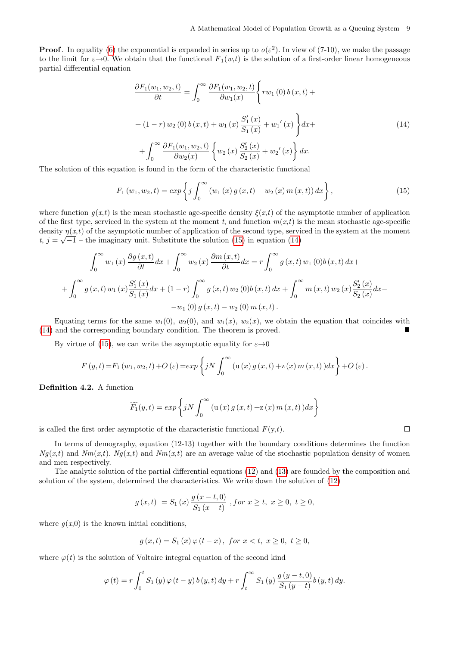$\Box$ 

**Proof.** In equality [\(6\)](#page-7-0) the exponential is expanded in series up to  $o(\varepsilon^2)$ . In view of (7-10), we make the passage to the limit for  $\varepsilon \to 0$ . We obtain that the functional  $F_1(w,t)$  is the solution of a first-order linear homogeneous partial differential equation

<span id="page-8-1"></span>
$$
\frac{\partial F_1(w_1, w_2, t)}{\partial t} = \int_0^\infty \frac{\partial F_1(w_1, w_2, t)}{\partial w_1(x)} \left\{ rw_1(0) b(x, t) + (1 - r) w_2(0) b(x, t) + w_1(x) \frac{S'_1(x)}{S_1(x)} + w_1'(x) \right\} dx + \int_0^\infty \frac{\partial F_1(w_1, w_2, t)}{\partial w_2(x)} \left\{ w_2(x) \frac{S'_2(x)}{S_2(x)} + w_2'(x) \right\} dx.
$$
\n(14)

The solution of this equation is found in the form of the characteristic functional

<span id="page-8-0"></span>
$$
F_1(w_1, w_2, t) = exp\left\{j \int_0^\infty (w_1(x) g(x, t) + w_2(x) m(x, t)) dx\right\},
$$
\n(15)

where function  $g(x,t)$  is the mean stochastic age-specific density  $\xi(x,t)$  of the asymptotic number of application of the first type, serviced in the system at the moment t, and function  $m(x,t)$  is the mean stochastic age-specific density  $\eta(x,t)$  of the asymptotic number of application of the second type, serviced in the system at the moment t,  $j = \sqrt{-1}$  – the imaginary unit. Substitute the solution [\(15\)](#page-8-0) in equation [\(14\)](#page-8-1)

$$
\int_0^{\infty} w_1(x) \frac{\partial g(x,t)}{\partial t} dx + \int_0^{\infty} w_2(x) \frac{\partial m(x,t)}{\partial t} dx = r \int_0^{\infty} g(x,t) w_1(0) b(x,t) dx +
$$

$$
+ \int_0^{\infty} g(x,t) w_1(x) \frac{S_1'(x)}{S_1(x)} dx + (1-r) \int_0^{\infty} g(x,t) w_2(0) b(x,t) dx + \int_0^{\infty} m(x,t) w_2(x) \frac{S_2'(x)}{S_2(x)} dx -
$$

$$
-w_1(0) g(x,t) - w_2(0) m(x,t).
$$

Equating terms for the same  $w_1(0)$ ,  $w_2(0)$ , and  $w_1(x)$ ,  $w_2(x)$ , we obtain the equation that coincides with [\(14\)](#page-8-1) and the corresponding boundary condition. The theorem is proved.

By virtue of [\(15\)](#page-8-0), we can write the asymptotic equality for  $\varepsilon \rightarrow 0$ 

$$
F(y,t) = F_1(w_1, w_2, t) + O(\varepsilon) = exp\left\{ jN \int_0^\infty \left( u(x) g(x,t) + z(x) m(x,t) \right) dx \right\} + O(\varepsilon).
$$

Definition 4.2. A function

$$
\widetilde{F_1}(y,t) = exp \left\{ jN \int_0^\infty \left( u(x) g(x,t) + z(x) m(x,t) \right) dx \right\}
$$

is called the first order asymptotic of the characteristic functional  $F(y,t)$ .

In terms of demography, equation (12-13) together with the boundary conditions determines the function  $Ng(x,t)$  and  $Nm(x,t)$ .  $Ng(x,t)$  and  $Nm(x,t)$  are an average value of the stochastic population density of women and men respectively.

The analytic solution of the partial differential equations [\(12\)](#page-7-1) and [\(13\)](#page-7-2) are founded by the composition and solution of the system, determined the characteristics. We write down the solution of [\(12\)](#page-7-1)

$$
g(x,t) = S_1(x) \frac{g(x-t,0)}{S_1(x-t)}
$$
, for  $x \ge t$ ,  $x \ge 0$ ,  $t \ge 0$ ,

where  $g(x,0)$  is the known initial conditions,

$$
g(x,t) = S_1(x)\,\varphi\,(t-x)\,,\,\,for\,\,x < t,\,\,x \ge 0,\,\,t \ge 0,
$$

where  $\varphi(t)$  is the solution of Voltaire integral equation of the second kind

$$
\varphi(t) = r \int_0^t S_1(y) \, \varphi(t-y) \, b(y,t) \, dy + r \int_t^\infty S_1(y) \, \frac{g(y-t,0)}{S_1(y-t)} b(y,t) \, dy.
$$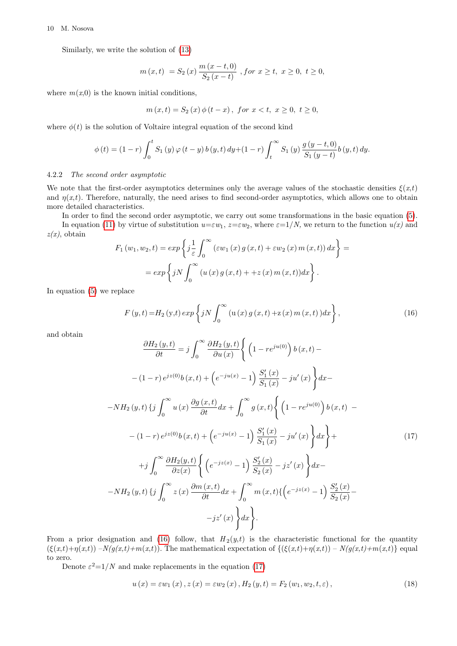#### 10 M. Nosova

Similarly, we write the solution of [\(13\)](#page-7-2)

$$
m(x,t) = S_2(x) \frac{m(x-t,0)}{S_2(x-t)}
$$
, for  $x \ge t$ ,  $x \ge 0$ ,  $t \ge 0$ ,

where  $m(x,0)$  is the known initial conditions,

$$
m(x,t) = S_2(x)\,\phi(t-x), \text{ for } x < t, \ x \ge 0, \ t \ge 0,
$$

where  $\phi(t)$  is the solution of Voltaire integral equation of the second kind

$$
\phi(t) = (1 - r) \int_0^t S_1(y) \, \varphi(t - y) \, b(y, t) \, dy + (1 - r) \int_t^\infty S_1(y) \, \frac{g(y - t, 0)}{S_1(y - t)} b(y, t) \, dy.
$$

#### 4.2.2 The second order asymptotic

We note that the first-order asymptotics determines only the average values of the stochastic densities  $\xi(x,t)$ and  $\eta(x,t)$ . Therefore, naturally, the need arises to find second-order asymptotics, which allows one to obtain more detailed characteristics.

In order to find the second order asymptotic, we carry out some transformations in the basic equation [\(5\)](#page-6-1). In equation [\(11\)](#page-7-3) by virtue of substitution  $u=\epsilon w_1$ ,  $z=\epsilon w_2$ , where  $\epsilon=1/N$ , we return to the function  $u(x)$  and  $z(x)$ , obtain

$$
F_1(w_1, w_2, t) = exp\left\{j\frac{1}{\varepsilon}\int_0^\infty (\varepsilon w_1(x) g(x, t) + \varepsilon w_2(x) m(x, t)) dx\right\} =
$$
  
=  $exp\left\{jN\int_0^\infty (u(x) g(x, t) + +z(x) m(x, t)) dx\right\}.$ 

In equation [\(5\)](#page-6-1) we replace

<span id="page-9-0"></span>
$$
F(y,t) = H_2(y,t) \exp\left\{ jN \int_0^\infty (u(x) g(x,t) + z(x) m(x,t)) dx \right\},
$$
\n(16)

and obtain

<span id="page-9-1"></span>
$$
\frac{\partial H_2(y,t)}{\partial t} = j \int_0^\infty \frac{\partial H_2(y,t)}{\partial u(x)} \left\{ \left( 1 - re^{ju(0)} \right) b(x,t) - \right.
$$
  
\n
$$
- (1-r) e^{jz(0)} b(x,t) + \left( e^{-ju(x)} - 1 \right) \frac{S'_1(x)}{S_1(x)} - ju'(x) \right\} dx -
$$
  
\n
$$
-NH_2(y,t) \left\{ j \int_0^\infty u(x) \frac{\partial g(x,t)}{\partial t} dx + \int_0^\infty g(x,t) \left\{ \left( 1 - re^{ju(0)} \right) b(x,t) - \right.\right.
$$
  
\n
$$
- (1-r) e^{jz(0)} b(x,t) + \left( e^{-ju(x)} - 1 \right) \frac{S'_1(x)}{S_1(x)} - ju'(x) \right\} dx \Big\} +
$$
  
\n
$$
+ j \int_0^\infty \frac{\partial H_2(y,t)}{\partial z(x)} \left\{ \left( e^{-jz(x)} - 1 \right) \frac{S'_2(x)}{S_2(x)} - jz'(x) \right\} dx -
$$
  
\n
$$
-NH_2(y,t) \left\{ j \int_0^\infty z(x) \frac{\partial m(x,t)}{\partial t} dx + \int_0^\infty m(x,t) \left\{ \left( e^{-jz(x)} - 1 \right) \frac{S'_2(x)}{S_2(x)} - \right.\right.
$$
  
\n
$$
-jz'(x) \Big\} dx \Big\}.
$$
 (17)

From a prior designation and [\(16\)](#page-9-0) follow, that  $H_2(y,t)$  is the characteristic functional for the quantity  $(\xi(x,t)+\eta(x,t)) - N(g(x,t)+m(x,t))$ . The mathematical expectation of  $\{\xi(x,t)+\eta(x,t)) - N(g(x,t)+m(x,t)\}$  equal to zero.

Denote  $\varepsilon^2 = 1/N$  and make replacements in the equation [\(17\)](#page-9-1)

<span id="page-9-2"></span>
$$
u(x) = \varepsilon w_1(x), z(x) = \varepsilon w_2(x), H_2(y, t) = F_2(w_1, w_2, t, \varepsilon),
$$
\n(18)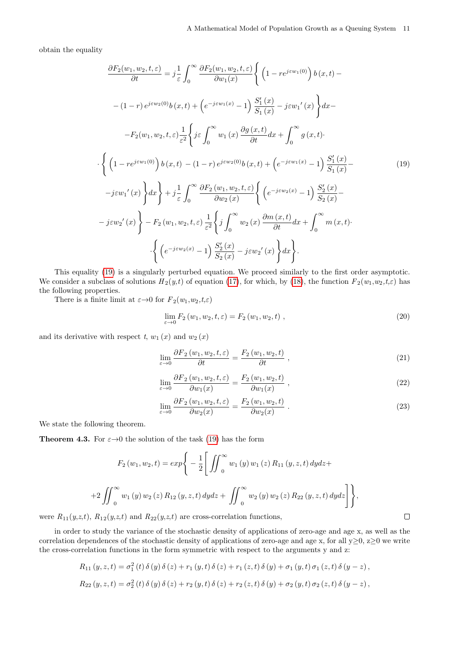obtain the equality

<span id="page-10-0"></span>
$$
\frac{\partial F_2(w_1, w_2, t, \varepsilon)}{\partial t} = j \frac{1}{\varepsilon} \int_0^\infty \frac{\partial F_2(w_1, w_2, t, \varepsilon)}{\partial w_1(x)} \left\{ \left( 1 - re^{j\varepsilon w_1(0)} \right) b(x, t) - \right.\n- (1-r) e^{j\varepsilon w_2(0)} b(x, t) + \left( e^{-j\varepsilon w_1(x)} - 1 \right) \frac{S'_1(x)}{S_1(x)} - j\varepsilon w'_1(x) \right\} dx -
$$
\n
$$
- F_2(w_1, w_2, t, \varepsilon) \frac{1}{\varepsilon^2} \left\{ j\varepsilon \int_0^\infty w_1(x) \frac{\partial g(x, t)}{\partial t} dx + \int_0^\infty g(x, t) \right\}.
$$
\n
$$
\cdot \left\{ \left( 1 - re^{j\varepsilon w_1(0)} \right) b(x, t) - (1-r) e^{j\varepsilon w_2(0)} b(x, t) + \left( e^{-j\varepsilon w_1(x)} - 1 \right) \frac{S'_1(x)}{S_1(x)} - \right.\n- j\varepsilon w'_1(x) \right\} dx \right\} + j \frac{1}{\varepsilon} \int_0^\infty \frac{\partial F_2(w_1, w_2, t, \varepsilon)}{\partial w_2(x)} \left\{ \left( e^{-j\varepsilon w_2(x)} - 1 \right) \frac{S'_2(x)}{S_2(x)} - \right.\n- j\varepsilon w'_2(x) \right\} - F_2(w_1, w_2, t, \varepsilon) \frac{1}{\varepsilon^2} \left\{ j \int_0^\infty w_2(x) \frac{\partial m(x, t)}{\partial t} dx + \int_0^\infty m(x, t) \right\}.
$$
\n
$$
\cdot \left\{ \left( e^{-j\varepsilon w_2(x)} - 1 \right) \frac{S'_2(x)}{S_2(x)} - j\varepsilon w'_2(x) \right\} dx \right\}.
$$
\n(19)

This equality [\(19\)](#page-10-0) is a singularly perturbed equation. We proceed similarly to the first order asymptotic. We consider a subclass of solutions  $H_2(y,t)$  of equation [\(17\)](#page-9-1), for which, by [\(18\)](#page-9-2), the function  $F_2(w_1,w_2,t,\varepsilon)$  has the following properties.

There is a finite limit at  $\varepsilon \to 0$  for  $F_2(w_1, w_2, t, \varepsilon)$ 

$$
\lim_{\varepsilon \to 0} F_2(w_1, w_2, t, \varepsilon) = F_2(w_1, w_2, t) , \qquad (20)
$$

and its derivative with respect t,  $w_1(x)$  and  $w_2(x)$ 

$$
\lim_{\varepsilon \to 0} \frac{\partial F_2(w_1, w_2, t, \varepsilon)}{\partial t} = \frac{F_2(w_1, w_2, t)}{\partial t}, \qquad (21)
$$

$$
\lim_{\varepsilon \to 0} \frac{\partial F_2(w_1, w_2, t, \varepsilon)}{\partial w_1(x)} = \frac{F_2(w_1, w_2, t)}{\partial w_1(x)} , \qquad (22)
$$

$$
\lim_{\varepsilon \to 0} \frac{\partial F_2(w_1, w_2, t, \varepsilon)}{\partial w_2(x)} = \frac{F_2(w_1, w_2, t)}{\partial w_2(x)}.
$$
\n(23)

 $\Box$ 

We state the following theorem.

<span id="page-10-1"></span>**Theorem 4.3.** For  $\varepsilon \rightarrow 0$  the solution of the task [\(19\)](#page-10-0) has the form

$$
F_2(w_1, w_2, t) = exp\Bigg\{-\frac{1}{2}\Bigg[\iint_0^\infty w_1(y) w_1(z) R_{11}(y, z, t) dydz +
$$
  
+2
$$
\iint_0^\infty w_1(y) w_2(z) R_{12}(y, z, t) dydz + \iint_0^\infty w_2(y) w_2(z) R_{22}(y, z, t) dydz\Bigg]\Bigg\},
$$

were  $R_{11}(y,z,t)$ ,  $R_{12}(y,z,t)$  and  $R_{22}(y,z,t)$  are cross-correlation functions,

in order to study the variance of the stochastic density of applications of zero-age and age x, as well as the correlation dependences of the stochastic density of applications of zero-age and age x, for all  $y \ge 0$ ,  $z \ge 0$  we write the cross-correlation functions in the form symmetric with respect to the arguments y and z:

$$
R_{11}(y, z, t) = \sigma_1^2(t) \delta(y) \delta(z) + r_1(y, t) \delta(z) + r_1(z, t) \delta(y) + \sigma_1(y, t) \sigma_1(z, t) \delta(y - z),
$$
  
\n
$$
R_{22}(y, z, t) = \sigma_2^2(t) \delta(y) \delta(z) + r_2(y, t) \delta(z) + r_2(z, t) \delta(y) + \sigma_2(y, t) \sigma_2(z, t) \delta(y - z),
$$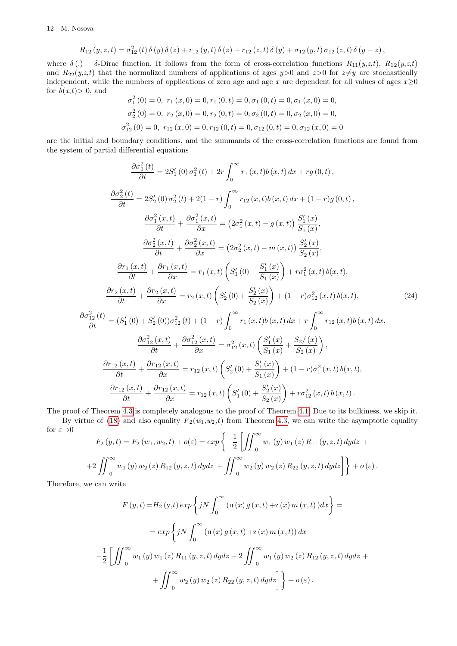12 M. Nosova

$$
R_{12}(y, z, t) = \sigma_{12}^{2}(t) \delta(y) \delta(z) + r_{12}(y, t) \delta(z) + r_{12}(z, t) \delta(y) + \sigma_{12}(y, t) \sigma_{12}(z, t) \delta(y - z),
$$

where  $\delta(.) - \delta$ -Dirac function. It follows from the form of cross-correlation functions  $R_{11}(y,z,t)$ ,  $R_{12}(y,z,t)$ and  $R_{22}(y,z,t)$  that the normalized numbers of applications of ages  $y>0$  and  $z>0$  for  $z\neq y$  are stochastically independent, while the numbers of applications of zero age and age x are dependent for all values of ages  $x>0$ for  $b(x,t) > 0$ , and

$$
\sigma_1^2(0) = 0, r_1(x, 0) = 0, r_1(0, t) = 0, \sigma_1(0, t) = 0, \sigma_1(x, 0) = 0,
$$
  

$$
\sigma_2^2(0) = 0, r_2(x, 0) = 0, r_2(0, t) = 0, \sigma_2(0, t) = 0, \sigma_2(x, 0) = 0,
$$
  

$$
\sigma_{12}^2(0) = 0, r_{12}(x, 0) = 0, r_{12}(0, t) = 0, \sigma_{12}(0, t) = 0, \sigma_{12}(x, 0) = 0
$$

are the initial and boundary conditions, and the summands of the cross-correlation functions are found from the system of partial differential equations

<span id="page-11-0"></span>
$$
\frac{\partial \sigma_1^2(t)}{\partial t} = 2S_1'(0) \sigma_1^2(t) + 2r \int_0^\infty r_1(x, t)b(x, t) dx + rg(0, t),
$$
\n
$$
\frac{\partial \sigma_2^2(t)}{\partial t} = 2S_2'(0) \sigma_2^2(t) + 2(1 - r) \int_0^\infty r_{12}(x, t)b(x, t) dx + (1 - r)g(0, t),
$$
\n
$$
\frac{\partial \sigma_1^2(x, t)}{\partial t} + \frac{\partial \sigma_1^2(x, t)}{\partial x} = (2\sigma_1^2(x, t) - g(x, t)) \frac{S_1'(x)}{S_1(x)},
$$
\n
$$
\frac{\partial \sigma_2^2(x, t)}{\partial t} + \frac{\partial \sigma_2^2(x, t)}{\partial x} = (2\sigma_2^2(x, t) - m(x, t)) \frac{S_2'(x)}{S_2(x)},
$$
\n
$$
\frac{\partial r_1(x, t)}{\partial t} + \frac{\partial r_1(x, t)}{\partial x} = r_1(x, t) \left( S_1'(0) + \frac{S_1'(x)}{S_1(x)} \right) + r\sigma_1^2(x, t) b(x, t),
$$
\n
$$
\frac{\partial r_2(x, t)}{\partial t} + \frac{\partial r_2(x, t)}{\partial x} = r_2(x, t) \left( S_2'(0) + \frac{S_2'(x)}{S_2(x)} \right) + (1 - r)\sigma_{12}^2(x, t) b(x, t),
$$
\n
$$
\frac{\partial \sigma_{12}^2(t)}{\partial t} = (S_1'(0) + S_2'(0)) \sigma_{12}^2(t) + (1 - r) \int_0^\infty r_1(x, t)b(x, t) dx + r \int_0^\infty r_{12}(x, t)b(x, t) dx,
$$
\n
$$
\frac{\partial \sigma_{12}^2(x, t)}{\partial t} + \frac{\partial \sigma_{12}^2(x, t)}{\partial x} = \sigma_{12}^2(x, t) \left( \frac{S_1'(x)}{S_1(x)} + \frac{S_2'(x)}{S_2(x)} \right),
$$
\n
$$
\frac{\partial r_{12}(x, t)}{\partial t} + \frac{\partial r_{12}(x, t)}{\partial x} = r_{12}(x, t) \left( S_2'(0)
$$

The proof of Theorem [4.3](#page-10-1) is completely analogous to the proof of Theorem [4.1.](#page-7-4) Due to its bulkiness, we skip it.

By virtue of [\(18\)](#page-9-2) and also equality  $F_2(w_1,w_2,t)$  from Theorem [4.3,](#page-10-1) we can write the asymptotic equality for  $\varepsilon \rightarrow 0$ 

$$
F_2(y,t) = F_2(w_1, w_2, t) + o(\varepsilon) = exp\left\{-\frac{1}{2} \left[ \iint_0^\infty w_1(y) w_1(z) R_{11}(y, z, t) dy dz + 2 \iint_0^\infty w_1(y) w_2(z) R_{12}(y, z, t) dy dz + \iint_0^\infty w_2(y) w_2(z) R_{22}(y, z, t) dy dz \right] \right\} + o(\varepsilon).
$$

Therefore, we can write

$$
F(y,t) = H_2(y,t) \exp \left\{ jN \int_0^\infty (u(x) g(x,t) + z(x) m(x,t)) dx \right\} =
$$
  
=  $\exp \left\{ jN \int_0^\infty (u(x) g(x,t) + z(x) m(x,t)) dx -$   
 $-\frac{1}{2} \left[ \iint_0^\infty w_1(y) w_1(z) R_{11}(y, z, t) dy dz + 2 \iint_0^\infty w_1(y) w_2(z) R_{12}(y, z, t) dy dz +$   
 $+ \iint_0^\infty w_2(y) w_2(z) R_{22}(y, z, t) dy dz \right] + o(\varepsilon).$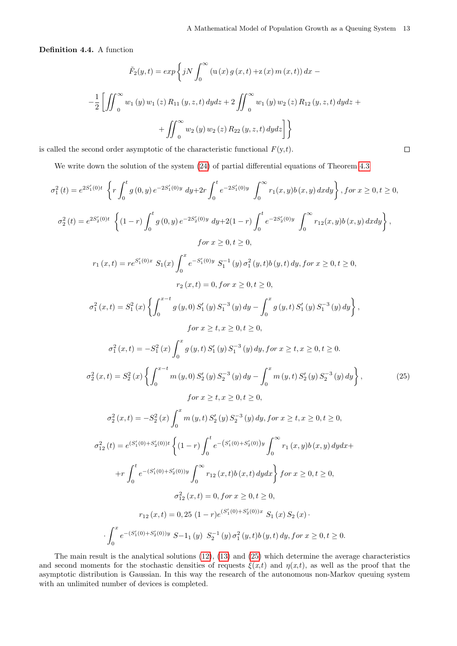$\Box$ 

Definition 4.4. A function

$$
\tilde{F}_2(y,t) = exp \left\{ jN \int_0^\infty (u(x) g(x,t) + z(x) m(x,t)) dx - \frac{1}{2} \left[ \iint_0^\infty w_1(y) w_1(z) R_{11}(y, z, t) dy dz + 2 \iint_0^\infty w_1(y) w_2(z) R_{12}(y, z, t) dy dz + \frac{1}{2} \int_0^\infty w_2(y) w_2(z) R_{22}(y, z, t) dy dz \right] \right\}
$$

is called the second order asymptotic of the characteristic functional  $F(y,t)$ .

We write down the solution of the system  $(24)$  of partial differential equations of Theorem [4.3](#page-10-1)

$$
\sigma_1^2(t) = e^{2S_1'(0)t} \left\{ r \int_0^t g(0, y) e^{-2S_1'(0)y} dy + 2r \int_0^t e^{-2S_1'(0)y} \int_0^\infty r_1(x, y) b(x, y) dx dy \right\}, for x \ge 0, t \ge 0,
$$
  

$$
\sigma_2^2(t) = e^{2S_2'(0)t} \left\{ (1-r) \int_0^t g(0, y) e^{-2S_2'(0)y} dy + 2(1-r) \int_0^t e^{-2S_2'(0)y} \int_0^\infty r_{12}(x, y) b(x, y) dx dy \right\},
$$
  

$$
for x \ge 0, t \ge 0,
$$
  

$$
r_1(x, t) = r e^{S_1'(0)x} S_1(x) \int_0^x e^{-S_1'(0)y} S_1^{-1}(y) \sigma_1^2(y, t) b(y, t) dy, for x \ge 0, t \ge 0,
$$
  

$$
r_2(x, t) = 0, for x \ge 0, t \ge 0,
$$
  

$$
\sigma_1^2(x, t) = S_1^2(x) \left\{ \int_0^{x-t} g(y, 0) S_1'(y) S_1^{-3}(y) dy - \int_0^x g(y, t) S_1'(y) S_1^{-3}(y) dy \right\},
$$
  

$$
for x \ge t, x \ge 0, t \ge 0,
$$
  

$$
\sigma_1^2(x, t) = -S_1^2(x) \int_0^x g(y, t) S_1'(y) S_1^{-3}(y) dy, for x \ge t, x \ge 0, t \ge 0.
$$
  

$$
\sigma_2^2(x, t) = S_2^2(x) \left\{ \int_0^{x-t} m(y, 0) S_2'(y) S_2^{-3}(y) dy - \int_0^x m(y, t) S_2'(y) S_2^{-3}(y) dy \right\},
$$
  

$$
for x \ge t, x \ge 0, t \ge 0,
$$
  

$$
\sigma_2^2(x, t) = -S_2^2(x) \int_0^x m(y, t) S_2'(y) S_2^{-3}(y) dy, for x \ge t, x \ge 0, t \ge 0,
$$
  

$$
\sigma_2^2(x, t) = -S_2^2(x
$$

<span id="page-12-0"></span>The main result is the analytical solutions [\(12\)](#page-7-1), [\(13\)](#page-7-2) and [\(25\)](#page-12-0) which determine the average characteristics and second moments for the stochastic densities of requests  $\xi(x,t)$  and  $\eta(x,t)$ , as well as the proof that the asymptotic distribution is Gaussian. In this way the research of the autonomous non-Markov queuing system with an unlimited number of devices is completed.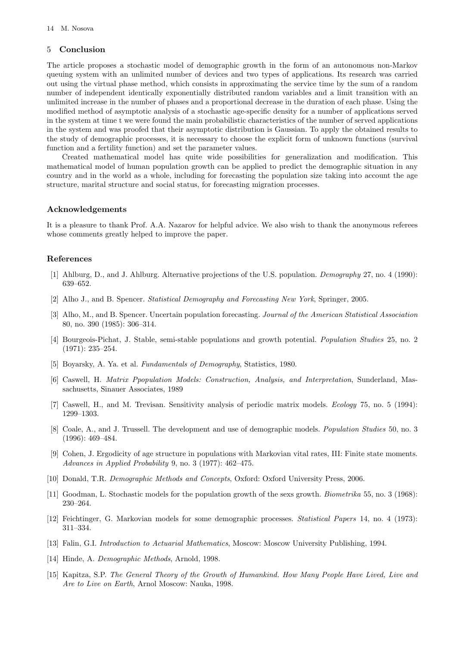## 5 Conclusion

The article proposes a stochastic model of demographic growth in the form of an autonomous non-Markov queuing system with an unlimited number of devices and two types of applications. Its research was carried out using the virtual phase method, which consists in approximating the service time by the sum of a random number of independent identically exponentially distributed random variables and a limit transition with an unlimited increase in the number of phases and a proportional decrease in the duration of each phase. Using the modified method of asymptotic analysis of a stochastic age-specific density for a number of applications served in the system at time t we were found the main probabilistic characteristics of the number of served applications in the system and was proofed that their asymptotic distribution is Gaussian. To apply the obtained results to the study of demographic processes, it is necessary to choose the explicit form of unknown functions (survival function and a fertility function) and set the parameter values.

Created mathematical model has quite wide possibilities for generalization and modification. This mathematical model of human population growth can be applied to predict the demographic situation in any country and in the world as a whole, including for forecasting the population size taking into account the age structure, marital structure and social status, for forecasting migration processes.

### Acknowledgements

It is a pleasure to thank Prof. A.A. Nazarov for helpful advice. We also wish to thank the anonymous referees whose comments greatly helped to improve the paper.

## References

- <span id="page-13-5"></span>[1] Ahlburg, D., and J. Ahlburg. Alternative projections of the U.S. population. Demography 27, no. 4 (1990): 639–652.
- <span id="page-13-6"></span>[2] Alho J., and B. Spencer. Statistical Demography and Forecasting New York, Springer, 2005.
- <span id="page-13-7"></span>[3] Alho, M., and B. Spencer. Uncertain population forecasting. Journal of the American Statistical Association 80, no. 390 (1985): 306–314.
- <span id="page-13-2"></span>[4] Bourgeois-Pichat, J. Stable, semi-stable populations and growth potential. Population Studies 25, no. 2 (1971): 235–254.
- <span id="page-13-3"></span>[5] Boyarsky, A. Ya. et al. Fundamentals of Demography, Statistics, 1980.
- <span id="page-13-9"></span>[6] Caswell, H. Matrix Ppopulation Models: Construction, Analysis, and Interpretation, Sunderland, Massachusetts, Sinauer Associates, 1989
- <span id="page-13-10"></span>[7] Caswell, H., and M. Trevisan. Sensitivity analysis of periodic matrix models. Ecology 75, no. 5 (1994): 1299–1303.
- <span id="page-13-4"></span>[8] Coale, A., and J. Trussell. The development and use of demographic models. Population Studies 50, no. 3 (1996): 469–484.
- <span id="page-13-8"></span>[9] Cohen, J. Ergodicity of age structure in populations with Markovian vital rates, III: Finite state moments. Advances in Applied Probability 9, no. 3 (1977): 462–475.
- <span id="page-13-0"></span>[10] Donald, T.R. Demographic Methods and Concepts, Oxford: Oxford University Press, 2006.
- <span id="page-13-11"></span>[11] Goodman, L. Stochastic models for the population growth of the sexs growth. Biometrika 55, no. 3 (1968): 230–264.
- <span id="page-13-13"></span>[12] Feichtinger, G. Markovian models for some demographic processes. Statistical Papers 14, no. 4 (1973): 311–334.
- [13] Falin, G.I. Introduction to Actuarial Mathematics, Moscow: Moscow University Publishing, 1994.
- <span id="page-13-1"></span>[14] Hinde, A. Demographic Methods, Arnold, 1998.
- <span id="page-13-12"></span>[15] Kapitza, S.P. The General Theory of the Growth of Humankind. How Many People Have Lived, Live and Are to Live on Earth, Arnol Moscow: Nauka, 1998.